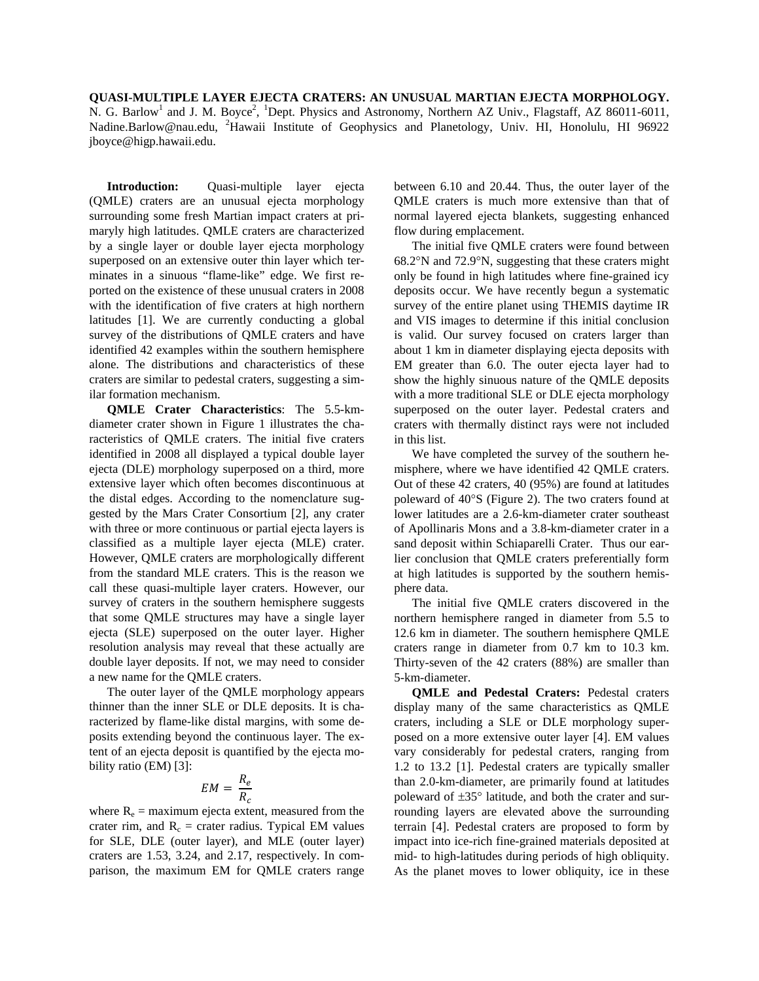**QUASI-MULTIPLE LAYER EJECTA CRATERS: AN UNUSUAL MARTIAN EJECTA MORPHOLOGY.**  N. G. Barlow<sup>1</sup> and J. M. Boyce<sup>2</sup>, <sup>1</sup>Dept. Physics and Astronomy, Northern AZ Univ., Flagstaff, AZ 86011-6011, [Nadine.Barlow@nau.edu](mailto:Nadine.Barlow@nau.edu), <sup>2</sup>Hawaii Institute of Geophysics and Planetology, Univ. HI, Honolulu, HI 96922 jboyce@higp.hawaii.edu.

**Introduction:** Quasi-multiple layer ejecta (QMLE) craters are an unusual ejecta morphology surrounding some fresh Martian impact craters at primaryly high latitudes. QMLE craters are characterized by a single layer or double layer ejecta morphology superposed on an extensive outer thin layer which terminates in a sinuous "flame-like" edge. We first reported on the existence of these unusual craters in 2008 with the identification of five craters at high northern latitudes [1]. We are currently conducting a global survey of the distributions of QMLE craters and have identified 42 examples within the southern hemisphere alone. The distributions and characteristics of these craters are similar to pedestal craters, suggesting a similar formation mechanism.

**QMLE Crater Characteristics**: The 5.5-kmdiameter crater shown in Figure 1 illustrates the characteristics of QMLE craters. The initial five craters identified in 2008 all displayed a typical double layer ejecta (DLE) morphology superposed on a third, more extensive layer which often becomes discontinuous at the distal edges. According to the nomenclature suggested by the Mars Crater Consortium [2], any crater with three or more continuous or partial ejecta layers is classified as a multiple layer ejecta (MLE) crater. However, QMLE craters are morphologically different from the standard MLE craters. This is the reason we call these quasi-multiple layer craters. However, our survey of craters in the southern hemisphere suggests that some QMLE structures may have a single layer ejecta (SLE) superposed on the outer layer. Higher resolution analysis may reveal that these actually are double layer deposits. If not, we may need to consider a new name for the QMLE craters.

The outer layer of the QMLE morphology appears thinner than the inner SLE or DLE deposits. It is characterized by flame-like distal margins, with some deposits extending beyond the continuous layer. The extent of an ejecta deposit is quantified by the ejecta mobility ratio (EM) [3]:

$$
EM = \frac{R_e}{R_c}
$$

where  $R_e$  = maximum ejecta extent, measured from the crater rim, and  $R_c$  = crater radius. Typical EM values for SLE, DLE (outer layer), and MLE (outer layer) craters are 1.53, 3.24, and 2.17, respectively. In comparison, the maximum EM for QMLE craters range between 6.10 and 20.44. Thus, the outer layer of the QMLE craters is much more extensive than that of normal layered ejecta blankets, suggesting enhanced flow during emplacement.

The initial five QMLE craters were found between 68.2°N and 72.9°N, suggesting that these craters might only be found in high latitudes where fine-grained icy deposits occur. We have recently begun a systematic survey of the entire planet using THEMIS daytime IR and VIS images to determine if this initial conclusion is valid. Our survey focused on craters larger than about 1 km in diameter displaying ejecta deposits with EM greater than 6.0. The outer ejecta layer had to show the highly sinuous nature of the QMLE deposits with a more traditional SLE or DLE ejecta morphology superposed on the outer layer. Pedestal craters and craters with thermally distinct rays were not included in this list.

We have completed the survey of the southern hemisphere, where we have identified 42 QMLE craters. Out of these 42 craters, 40 (95%) are found at latitudes poleward of 40°S (Figure 2). The two craters found at lower latitudes are a 2.6-km-diameter crater southeast of Apollinaris Mons and a 3.8-km-diameter crater in a sand deposit within Schiaparelli Crater. Thus our earlier conclusion that QMLE craters preferentially form at high latitudes is supported by the southern hemisphere data.

The initial five QMLE craters discovered in the northern hemisphere ranged in diameter from 5.5 to 12.6 km in diameter. The southern hemisphere QMLE craters range in diameter from 0.7 km to 10.3 km. Thirty-seven of the 42 craters (88%) are smaller than 5-km-diameter.

**QMLE and Pedestal Craters:** Pedestal craters display many of the same characteristics as QMLE craters, including a SLE or DLE morphology superposed on a more extensive outer layer [4]. EM values vary considerably for pedestal craters, ranging from 1.2 to 13.2 [1]. Pedestal craters are typically smaller than 2.0-km-diameter, are primarily found at latitudes poleward of ±35° latitude, and both the crater and surrounding layers are elevated above the surrounding terrain [4]. Pedestal craters are proposed to form by impact into ice-rich fine-grained materials deposited at mid- to high-latitudes during periods of high obliquity. As the planet moves to lower obliquity, ice in these